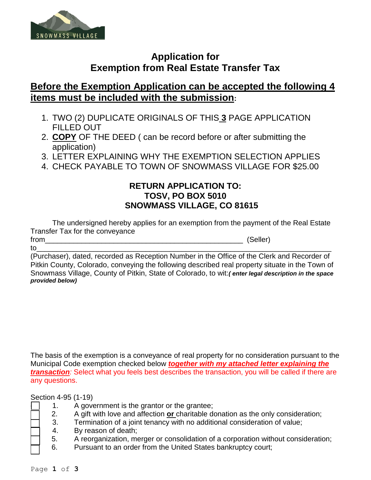

## **Application for Exemption from Real Estate Transfer Tax**

## **Before the Exemption Application can be accepted the following 4 items must be included with the submission:**

- 1. TWO (2) DUPLICATE ORIGINALS OF THIS **3** PAGE APPLICATION FILLED OUT
- 2. **COPY** OF THE DEED ( can be record before or after submitting the application)
- 3. LETTER EXPLAINING WHY THE EXEMPTION SELECTION APPLIES
- 4. CHECK PAYABLE TO TOWN OF SNOWMASS VILLAGE FOR \$25.00

## **RETURN APPLICATION TO: TOSV, PO BOX 5010 SNOWMASS VILLAGE, CO 81615**

The undersigned hereby applies for an exemption from the payment of the Real Estate Transfer Tax for the conveyance from (Seller)

to\_\_\_\_\_\_\_\_\_\_\_\_\_\_\_\_\_\_\_\_\_\_\_\_\_\_\_\_\_\_\_\_\_\_\_\_\_\_\_\_\_\_\_\_\_\_\_\_\_\_\_\_\_\_\_\_\_\_\_\_\_\_\_\_\_\_\_\_\_\_\_\_\_ (Purchaser), dated, recorded as Reception Number in the Office of the Clerk and Recorder of Pitkin County, Colorado, conveying the following described real property situate in the Town of Snowmass Village, County of Pitkin, State of Colorado, to wit:*( enter legal description in the space provided below)*

The basis of the exemption is a conveyance of real property for no consideration pursuant to the Municipal Code exemption checked below *together with my attached letter explaining the transaction:* Select what you feels best describes the transaction, you will be called if there are any questions.

Section 4-95 (1-19)

- 1. A government is the grantor or the grantee;
- 2. A gift with love and affection **or** charitable donation as the only consideration;
- 3. Termination of a joint tenancy with no additional consideration of value;
- 4. By reason of death;
	- 5. A reorganization, merger or consolidation of a corporation without consideration;
- 6. Pursuant to an order from the United States bankruptcy court;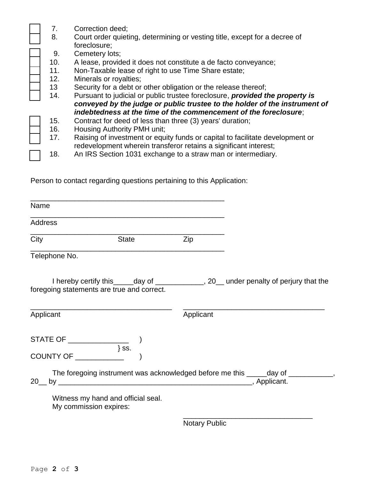| 7.               | Correction deed;                                                              |
|------------------|-------------------------------------------------------------------------------|
| 8.               | Court order quieting, determining or vesting title, except for a decree of    |
|                  | foreclosure;                                                                  |
| 9.               | Cemetery lots;                                                                |
| 10.              | A lease, provided it does not constitute a de facto conveyance;               |
| 11.              | Non-Taxable lease of right to use Time Share estate;                          |
| 12.              | Minerals or royalties;                                                        |
| 13 <sup>13</sup> | Security for a debt or other obligation or the release thereof;               |
| 14.              | Pursuant to judicial or public trustee foreclosure, provided the property is  |
|                  | conveyed by the judge or public trustee to the holder of the instrument of    |
|                  | indebtedness at the time of the commencement of the foreclosure;              |
| 15.              | Contract for deed of less than three (3) years' duration;                     |
| 16.              | Housing Authority PMH unit;                                                   |
| 17.              | Raising of investment or equity funds or capital to facilitate development or |
|                  | redevelopment wherein transferor retains a significant interest;              |
| 18.              | An IRS Section 1031 exchange to a straw man or intermediary.                  |
|                  |                                                                               |

Person to contact regarding questions pertaining to this Application:

| <b>Name</b>    |                                                                 |                      |                                                                                          |
|----------------|-----------------------------------------------------------------|----------------------|------------------------------------------------------------------------------------------|
| <b>Address</b> | <u> 1989 - Jan Andrea Stein, Amerikaansk politiker (* 1908)</u> |                      |                                                                                          |
| City           | <b>State</b>                                                    | Zip                  |                                                                                          |
| Telephone No.  |                                                                 |                      |                                                                                          |
|                | foregoing statements are true and correct.                      |                      | I hereby certify this______day of ______________, 20__ under penalty of perjury that the |
| Applicant      |                                                                 | Applicant            |                                                                                          |
|                | $\{ss.\}$                                                       |                      |                                                                                          |
|                | COUNTY OF                                                       |                      |                                                                                          |
|                |                                                                 |                      | The foregoing instrument was acknowledged before me this _____day of ___________,        |
|                | Witness my hand and official seal.<br>My commission expires:    |                      |                                                                                          |
|                |                                                                 | <b>Notary Public</b> |                                                                                          |